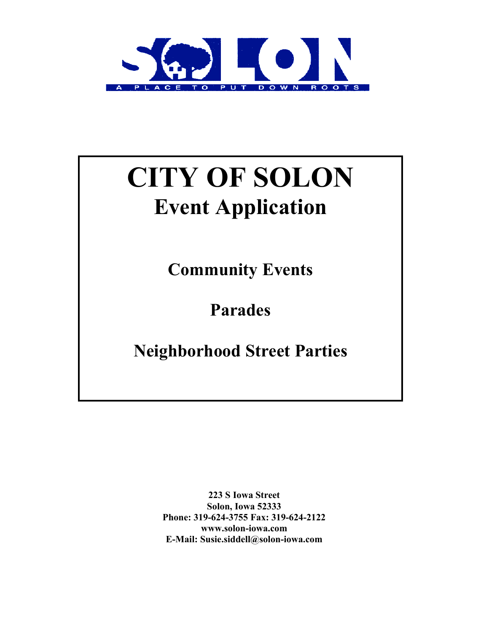

## CITY OF SOLON Event Application

Community Events

Parades

Neighborhood Street Parties

223 S Iowa Street Solon, Iowa 52333 Phone: 319-624-3755 Fax: 319-624-2122 www.solon-iowa.com E-Mail: Susie.siddell@solon-iowa.com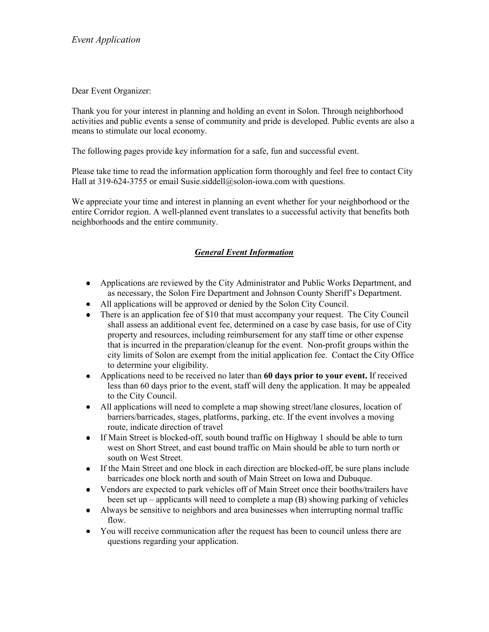Dear Event Organizer:

Thank you for your interest in planning and holding an event in Solon. Through neighborhood activities and public events a sense of community and pride is developed. Public events are also a means to stimulate our local economy.

The following pages provide key information for a safe, fun and successful event.

Please take time to read the information application form thoroughly and feel free to contact City Hall at 319-624-3755 or email Susie.siddell@solon-iowa.com with questions.

We appreciate your time and interest in planning an event whether for your neighborhood or the entire Corridor region. A well-planned event translates to a successful activity that benefits both neighborhoods and the entire community.

## *General Event Information*

- Applications are reviewed by the City Administrator and Public Works Department, and as necessary, the Solon Fire Department and Johnson County Sheriff's Department.
- All applications will be approved or denied by the Solon City Council.
- There is an application fee of \$10 that must accompany your request. The City Council shall assess an additional event fee, determined on a case by case basis, for use of City property and resources, including reimbursement for any staff time or other expense that is incurred in the preparation/cleanup for the event. Non-profit groups within the city limits of Solon are exempt from the initial application fee. Contact the City Office to determine your eligibility.
- Applications need to be received no later than 60 days prior to your event. If received less than 60 days prior to the event, staff will deny the application. It may be appealed to the City Council.
- All applications will need to complete a map showing street/lane closures, location of barriers/barricades, stages, platforms, parking, etc. If the event involves a moving route, indicate direction of travel
- If Main Street is blocked-off, south bound traffic on Highway 1 should be able to turn west on Short Street, and east bound traffic on Main should be able to turn north or south on West Street.
- If the Main Street and one block in each direction are blocked-off, be sure plans include barricades one block north and south of Main Street on Iowa and Dubuque.
- Vendors are expected to park vehicles off of Main Street once their booths/trailers have been set up – applicants will need to complete a map (B) showing parking of vehicles
- Always be sensitive to neighbors and area businesses when interrupting normal traffic flow.
- You will receive communication after the request has been to council unless there are questions regarding your application.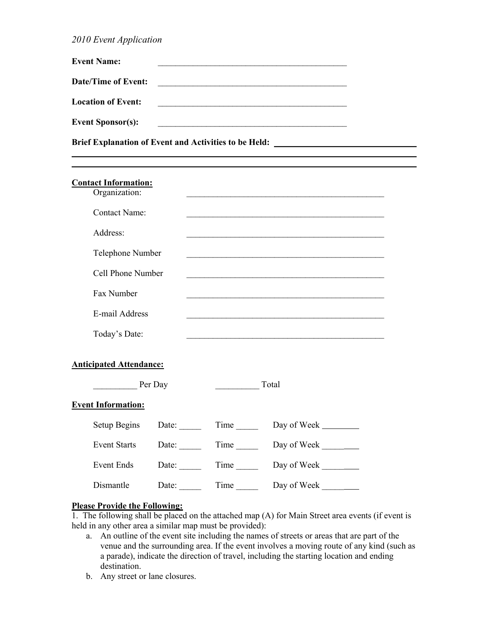*2010 Event Application*

| <b>Event Name:</b>         |  |
|----------------------------|--|
| <b>Date/Time of Event:</b> |  |
| <b>Location of Event:</b>  |  |
| <b>Event Sponsor(s):</b>   |  |

Brief Explanation of Event and Activities to be Held: \_\_\_\_\_\_\_\_\_\_\_\_\_\_\_\_\_\_\_\_\_\_\_\_\_\_

| <b>Contact Information:</b>    |                      |              |                                                                              |                                          |  |  |
|--------------------------------|----------------------|--------------|------------------------------------------------------------------------------|------------------------------------------|--|--|
|                                | Organization:        |              |                                                                              |                                          |  |  |
|                                | <b>Contact Name:</b> |              |                                                                              |                                          |  |  |
|                                | Address:             |              |                                                                              |                                          |  |  |
|                                | Telephone Number     |              |                                                                              |                                          |  |  |
|                                | Cell Phone Number    |              |                                                                              |                                          |  |  |
|                                | Fax Number           |              |                                                                              |                                          |  |  |
|                                | E-mail Address       |              |                                                                              |                                          |  |  |
|                                | Today's Date:        |              |                                                                              |                                          |  |  |
|                                |                      |              |                                                                              |                                          |  |  |
| <b>Anticipated Attendance:</b> |                      |              |                                                                              |                                          |  |  |
|                                | Per Day              |              | Total<br>$\frac{1}{2}$ and $\frac{1}{2}$ and $\frac{1}{2}$ and $\frac{1}{2}$ |                                          |  |  |
| <b>Event Information:</b>      |                      |              |                                                                              |                                          |  |  |
|                                | <b>Setup Begins</b>  | Date: $\_\_$ | $Time$ <sub>_______</sub>                                                    | Day of Week                              |  |  |
|                                | <b>Event Starts</b>  | Date: $\_\_$ | $Time$ <sub>______</sub>                                                     | Day of Week $\_\_\_\_\_\_\_\_\_\_\_\_\_$ |  |  |
|                                | <b>Event Ends</b>    | Date:        | $Time$ <sub>_______</sub>                                                    | Day of Week                              |  |  |
|                                | Dismantle            | Date:        | Time                                                                         | Day of Week                              |  |  |

## Please Provide the Following:

1. The following shall be placed on the attached map  $(A)$  for Main Street area events (if event is held in any other area a similar map must be provided):

- a. An outline of the event site including the names of streets or areas that are part of the venue and the surrounding area. If the event involves a moving route of any kind (such as a parade), indicate the direction of travel, including the starting location and ending destination.
- b. Any street or lane closures.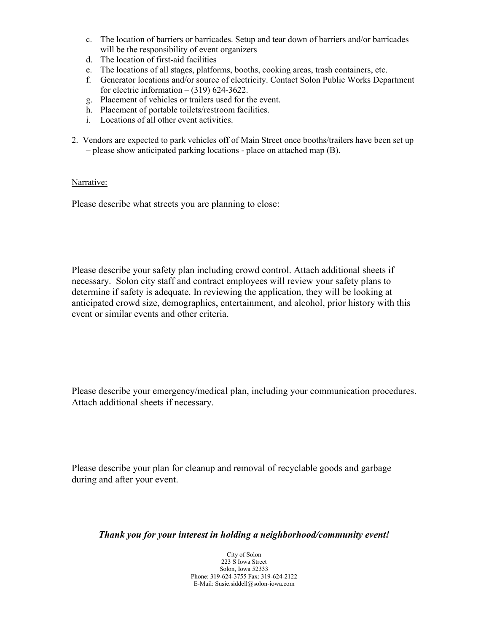- c. The location of barriers or barricades. Setup and tear down of barriers and/or barricades will be the responsibility of event organizers
- d. The location of first-aid facilities
- e. The locations of all stages, platforms, booths, cooking areas, trash containers, etc.
- f. Generator locations and/or source of electricity. Contact Solon Public Works Department for electric information  $- (319)$  624-3622.
- g. Placement of vehicles or trailers used for the event.
- h. Placement of portable toilets/restroom facilities.
- i. Locations of all other event activities.
- 2. Vendors are expected to park vehicles off of Main Street once booths/trailers have been set up – please show anticipated parking locations - place on attached map (B).

## Narrative:

Please describe what streets you are planning to close:

Please describe your safety plan including crowd control. Attach additional sheets if necessary. Solon city staff and contract employees will review your safety plans to determine if safety is adequate. In reviewing the application, they will be looking at anticipated crowd size, demographics, entertainment, and alcohol, prior history with this event or similar events and other criteria.

Please describe your emergency/medical plan, including your communication procedures. Attach additional sheets if necessary.

Please describe your plan for cleanup and removal of recyclable goods and garbage during and after your event.

*Thank you for your interest in holding a neighborhood/community event!*

City of Solon 223 S Iowa Street Solon, Iowa 52333 Phone: 319-624-3755 Fax: 319-624-2122 E-Mail: Susie.siddell@solon-iowa.com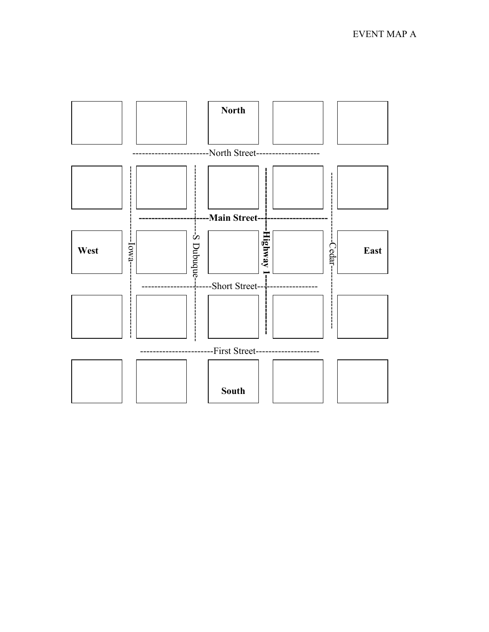